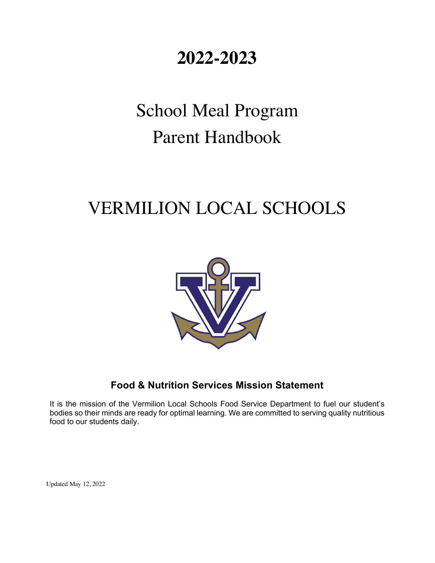## **2022-2023**

# School Meal Program Parent Handbook

## VERMILION LOCAL SCHOOLS



## **Food & Nutrition Services Mission Statement**

It is the mission of the Vermilion Local Schools Food Service Department to fuel our student's bodies so their minds are ready for optimal learning. We are committed to serving quality nutritious food to our students daily.

Updated May 12, 2022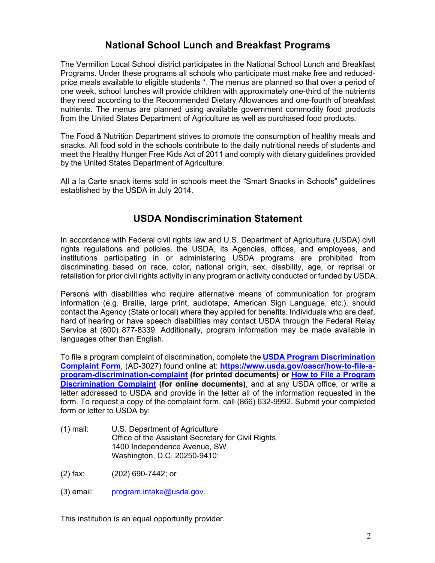## **National School Lunch and Breakfast Programs**

The Vermilion Local School district participates in the National School Lunch and Breakfast Programs. Under these programs all schools who participate must make free and reducedprice meals available to eligible students \*. The menus are planned so that over a period of one week, school lunches will provide children with approximately one-third of the nutrients they need according to the Recommended Dietary Allowances and one-fourth of breakfast nutrients. The menus are planned using available government commodity food products from the United States Department of Agriculture as well as purchased food products.

The Food & Nutrition Department strives to promote the consumption of healthy meals and snacks. All food sold in the schools contribute to the daily nutritional needs of students and meet the Healthy Hunger Free Kids Act of 2011 and comply with dietary guidelines provided by the United States Department of Agriculture.

All a la Carte snack items sold in schools meet the "Smart Snacks in Schools" guidelines established by the USDA in July 2014.

### **USDA Nondiscrimination Statement**

In accordance with Federal civil rights law and U.S. Department of Agriculture (USDA) civil rights regulations and policies, the USDA, its Agencies, offices, and employees, and institutions participating in or administering USDA programs are prohibited from discriminating based on race, color, national origin, sex, disability, age, or reprisal or retaliation for prior civil rights activity in any program or activity conducted or funded by USDA.

Persons with disabilities who require alternative means of communication for program information (e.g. Braille, large print, audiotape, American Sign Language, etc.), should contact the Agency (State or local) where they applied for benefits. Individuals who are deaf, hard of hearing or have speech disabilities may contact USDA through the Federal Relay Service at (800) 877-8339. Additionally, program information may be made available in languages other than English.

To file a program complaint of discrimination, complete the **USDA Program Discrimination Complaint Form**, (AD-3027) found online at: **https://www.usda.gov/oascr/how-to-file-aprogram-discrimination-complaint (for printed documents) or How to File a Program Discrimination Complaint (for online documents)**, and at any USDA office, or write a letter addressed to USDA and provide in the letter all of the information requested in the form. To request a copy of the complaint form, call (866) 632-9992. Submit your completed form or letter to USDA by:

- (1) mail: U.S. Department of Agriculture Office of the Assistant Secretary for Civil Rights 1400 Independence Avenue, SW Washington, D.C. 20250-9410;
- (2) fax: (202) 690-7442; or
- (3) email: program.intake@usda.gov.

This institution is an equal opportunity provider.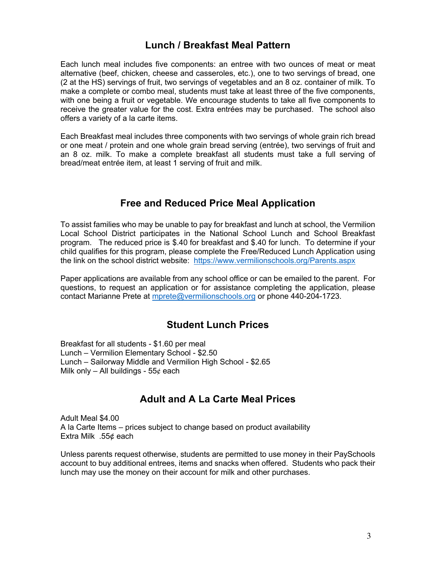### **Lunch / Breakfast Meal Pattern**

Each lunch meal includes five components: an entree with two ounces of meat or meat alternative (beef, chicken, cheese and casseroles, etc.), one to two servings of bread, one (2 at the HS) servings of fruit, two servings of vegetables and an 8 oz. container of milk. To make a complete or combo meal, students must take at least three of the five components, with one being a fruit or vegetable. We encourage students to take all five components to receive the greater value for the cost. Extra entrées may be purchased. The school also offers a variety of a la carte items.

Each Breakfast meal includes three components with two servings of whole grain rich bread or one meat / protein and one whole grain bread serving (entrée), two servings of fruit and an 8 oz. milk. To make a complete breakfast all students must take a full serving of bread/meat entrée item, at least 1 serving of fruit and milk.

## **Free and Reduced Price Meal Application**

To assist families who may be unable to pay for breakfast and lunch at school, the Vermilion Local School District participates in the National School Lunch and School Breakfast program. The reduced price is \$.40 for breakfast and \$.40 for lunch. To determine if your child qualifies for this program, please complete the Free/Reduced Lunch Application using the link on the school district website: https://www.vermilionschools.org/Parents.aspx

Paper applications are available from any school office or can be emailed to the parent. For questions, to request an application or for assistance completing the application, please contact Marianne Prete at mprete@vermilionschools.org or phone 440-204-1723.

### **Student Lunch Prices**

Breakfast for all students - \$1.60 per meal Lunch – Vermilion Elementary School - \$2.50 Lunch – Sailorway Middle and Vermilion High School - \$2.65 Milk only – All buildings -  $55¢$  each

### **Adult and A La Carte Meal Prices**

Adult Meal \$4.00 A la Carte Items – prices subject to change based on product availability Extra Milk .55¢ each

Unless parents request otherwise, students are permitted to use money in their PaySchools account to buy additional entrees, items and snacks when offered. Students who pack their lunch may use the money on their account for milk and other purchases.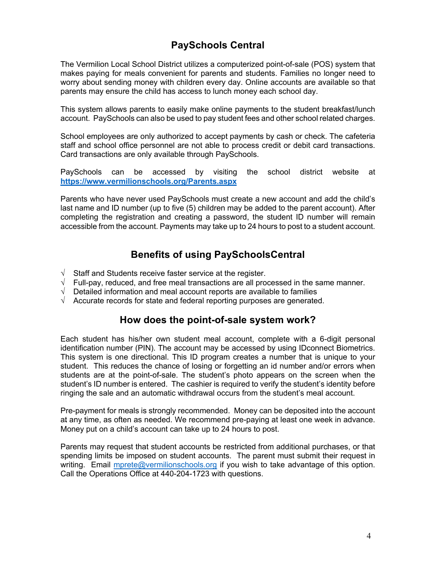## **PaySchools Central**

The Vermilion Local School District utilizes a computerized point-of-sale (POS) system that makes paying for meals convenient for parents and students. Families no longer need to worry about sending money with children every day. Online accounts are available so that parents may ensure the child has access to lunch money each school day.

This system allows parents to easily make online payments to the student breakfast/lunch account. PaySchools can also be used to pay student fees and other school related charges.

School employees are only authorized to accept payments by cash or check. The cafeteria staff and school office personnel are not able to process credit or debit card transactions. Card transactions are only available through PaySchools.

PaySchools can be accessed by visiting the school district website at **https://www.vermilionschools.org/Parents.aspx**

Parents who have never used PaySchools must create a new account and add the child's last name and ID number (up to five (5) children may be added to the parent account). After completing the registration and creating a password, the student ID number will remain accessible from the account. Payments may take up to 24 hours to post to a student account.

## **Benefits of using PaySchoolsCentral**

- $\sqrt{\phantom{a}}$  Staff and Students receive faster service at the register.
- $\sqrt{\phantom{a}}$  Full-pay, reduced, and free meal transactions are all processed in the same manner.
- $\sqrt{\phantom{a}}$  Detailed information and meal account reports are available to families
- $\sqrt{\phantom{a}}$  Accurate records for state and federal reporting purposes are generated.

## **How does the point-of-sale system work?**

Each student has his/her own student meal account, complete with a 6-digit personal identification number (PIN). The account may be accessed by using IDconnect Biometrics. This system is one directional. This ID program creates a number that is unique to your student. This reduces the chance of losing or forgetting an id number and/or errors when students are at the point-of-sale. The student's photo appears on the screen when the student's ID number is entered. The cashier is required to verify the student's identity before ringing the sale and an automatic withdrawal occurs from the student's meal account.

Pre-payment for meals is strongly recommended. Money can be deposited into the account at any time, as often as needed. We recommend pre-paying at least one week in advance. Money put on a child's account can take up to 24 hours to post.

Parents may request that student accounts be restricted from additional purchases, or that spending limits be imposed on student accounts. The parent must submit their request in writing. Email mprete@vermilionschools.org if you wish to take advantage of this option. Call the Operations Office at 440-204-1723 with questions.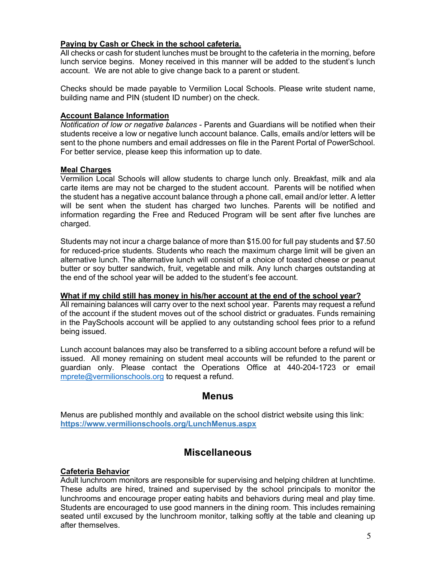#### **Paying by Cash or Check in the school cafeteria.**

All checks or cash for student lunches must be brought to the cafeteria in the morning, before lunch service begins. Money received in this manner will be added to the student's lunch account. We are not able to give change back to a parent or student.

Checks should be made payable to Vermilion Local Schools. Please write student name, building name and PIN (student ID number) on the check.

#### **Account Balance Information**

*Notification of low or negative balances* - Parents and Guardians will be notified when their students receive a low or negative lunch account balance. Calls, emails and/or letters will be sent to the phone numbers and email addresses on file in the Parent Portal of PowerSchool. For better service, please keep this information up to date.

#### **Meal Charges**

Vermilion Local Schools will allow students to charge lunch only. Breakfast, milk and ala carte items are may not be charged to the student account. Parents will be notified when the student has a negative account balance through a phone call, email and/or letter. A letter will be sent when the student has charged two lunches. Parents will be notified and information regarding the Free and Reduced Program will be sent after five lunches are charged.

Students may not incur a charge balance of more than \$15.00 for full pay students and \$7.50 for reduced-price students. Students who reach the maximum charge limit will be given an alternative lunch. The alternative lunch will consist of a choice of toasted cheese or peanut butter or soy butter sandwich, fruit, vegetable and milk. Any lunch charges outstanding at the end of the school year will be added to the student's fee account.

#### **What if my child still has money in his/her account at the end of the school year?**

All remaining balances will carry over to the next school year. Parents may request a refund of the account if the student moves out of the school district or graduates. Funds remaining in the PaySchools account will be applied to any outstanding school fees prior to a refund being issued.

Lunch account balances may also be transferred to a sibling account before a refund will be issued. All money remaining on student meal accounts will be refunded to the parent or guardian only. Please contact the Operations Office at 440-204-1723 or email mprete@vermilionschools.org to request a refund.

### **Menus**

Menus are published monthly and available on the school district website using this link: **https://www.vermilionschools.org/LunchMenus.aspx**

### **Miscellaneous**

#### **Cafeteria Behavior**

Adult lunchroom monitors are responsible for supervising and helping children at lunchtime. These adults are hired, trained and supervised by the school principals to monitor the lunchrooms and encourage proper eating habits and behaviors during meal and play time. Students are encouraged to use good manners in the dining room. This includes remaining seated until excused by the lunchroom monitor, talking softly at the table and cleaning up after themselves.